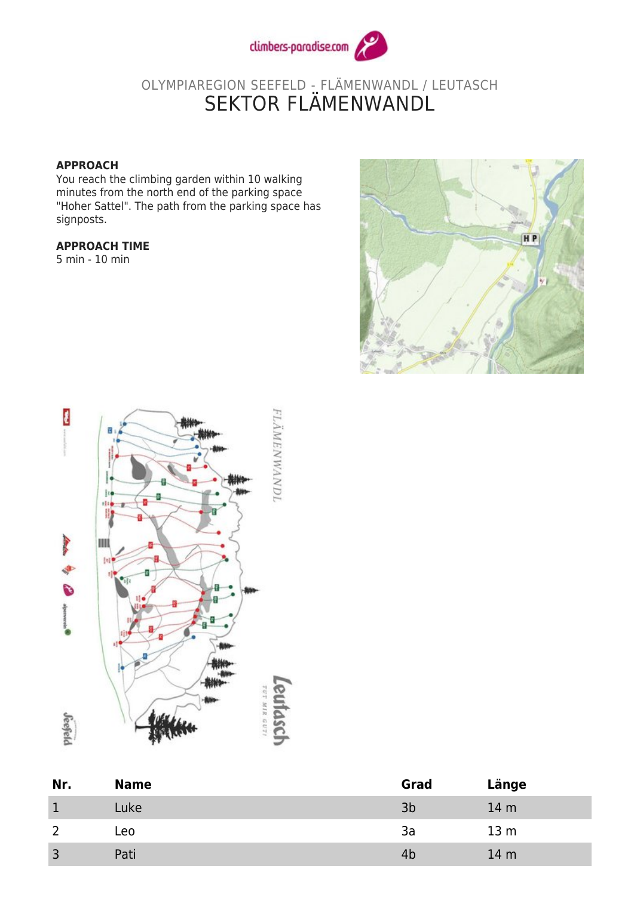

## OLYMPIAREGION SEEFELD - FLÄMENWANDL / LEUTASCH SEKTOR FLAMENWANDL

## **APPROACH**

You reach the climbing garden within 10 walking minutes from the north end of the parking space "Hoher Sattel". The path from the parking space has signposts.

## **APPROACH TIME**

5 min - 10 min





| Nr.          | <b>Name</b> | Grad | Länge           |
|--------------|-------------|------|-----------------|
|              | Luke        | 3b   | 14 <sub>m</sub> |
|              | Leo         | 3a   | 13 <sub>m</sub> |
| $\mathbf{R}$ | Pati        | 4b   | 14 <sub>m</sub> |